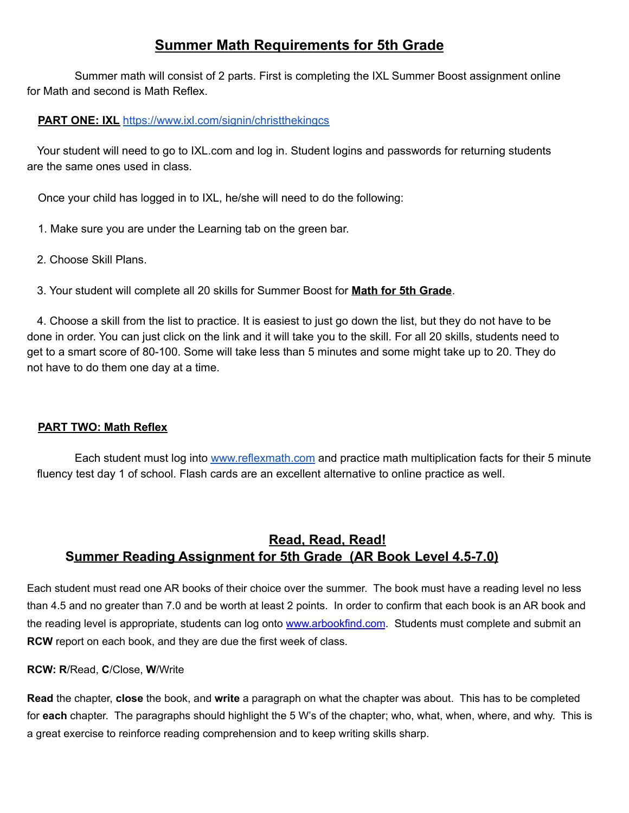## **Summer Math Requirements for 5th Grade**

Summer math will consist of 2 parts. First is completing the IXL Summer Boost assignment online for Math and second is Math Reflex.

## **PART ONE: IXL** https://www.ixl.com/signin/christthekingcs

Your student will need to go to IXL.com and log in. Student logins and passwords for returning students are the same ones used in class.

Once your child has logged in to IXL, he/she will need to do the following:

- 1. Make sure you are under the Learning tab on the green bar.
- 2. Choose Skill Plans.

3. Your student will complete all 20 skills for Summer Boost for **Math for 5th Grade**.

4. Choose a skill from the list to practice. It is easiest to just go down the list, but they do not have to be done in order. You can just click on the link and it will take you to the skill. For all 20 skills, students need to get to a smart score of 80-100. Some will take less than 5 minutes and some might take up to 20. They do not have to do them one day at a time.

## **PART TWO: Math Reflex**

Each student must log into [www.reflexmath.com](http://www.reflexmath.com) and practice math multiplication facts for their 5 minute fluency test day 1 of school. Flash cards are an excellent alternative to online practice as well.

## **Read, Read, Read! Summer Reading Assignment for 5th Grade (AR Book Level 4.5-7.0)**

Each student must read one AR books of their choice over the summer. The book must have a reading level no less than 4.5 and no greater than 7.0 and be worth at least 2 points. In order to confirm that each book is an AR book and the reading level is appropriate, students can log onto [www.arbookfind.com](http://www.arbookfind.com). Students must complete and submit an **RCW** report on each book, and they are due the first week of class.

**RCW: R**/Read, **C**/Close, **W**/Write

**Read** the chapter, **close** the book, and **write** a paragraph on what the chapter was about. This has to be completed for **each** chapter. The paragraphs should highlight the 5 W's of the chapter; who, what, when, where, and why. This is a great exercise to reinforce reading comprehension and to keep writing skills sharp.